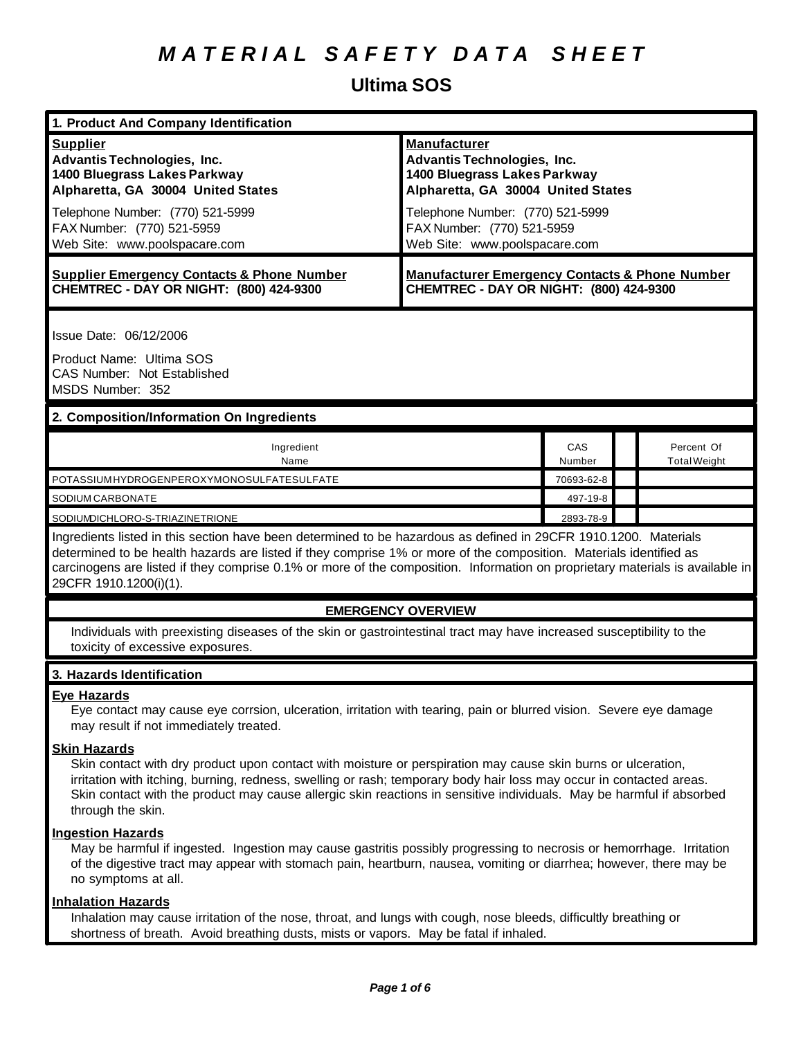### **Ultima SOS**

| 1. Product And Company Identification                                                                                                                                                                                                                                                                                                                                                                   |                                                                                                                                                                                                                                    |               |                                   |
|---------------------------------------------------------------------------------------------------------------------------------------------------------------------------------------------------------------------------------------------------------------------------------------------------------------------------------------------------------------------------------------------------------|------------------------------------------------------------------------------------------------------------------------------------------------------------------------------------------------------------------------------------|---------------|-----------------------------------|
| <b>Supplier</b><br><b>Advantis Technologies, Inc.</b><br>1400 Bluegrass Lakes Parkway<br>Alpharetta, GA 30004 United States<br>Telephone Number: (770) 521-5999<br>FAX Number: (770) 521-5959<br>Web Site: www.poolspacare.com                                                                                                                                                                          | <b>Manufacturer</b><br><b>Advantis Technologies, Inc.</b><br>1400 Bluegrass Lakes Parkway<br>Alpharetta, GA 30004 United States<br>Telephone Number: (770) 521-5999<br>FAX Number: (770) 521-5959<br>Web Site: www.poolspacare.com |               |                                   |
| <b>Supplier Emergency Contacts &amp; Phone Number</b><br>CHEMTREC - DAY OR NIGHT: (800) 424-9300                                                                                                                                                                                                                                                                                                        | <b>Manufacturer Emergency Contacts &amp; Phone Number</b><br>CHEMTREC - DAY OR NIGHT: (800) 424-9300                                                                                                                               |               |                                   |
| Issue Date: 06/12/2006<br>Product Name: Ultima SOS<br><b>CAS Number: Not Established</b><br>MSDS Number: 352<br>2. Composition/Information On Ingredients                                                                                                                                                                                                                                               |                                                                                                                                                                                                                                    |               |                                   |
|                                                                                                                                                                                                                                                                                                                                                                                                         |                                                                                                                                                                                                                                    |               |                                   |
| Ingredient<br>Name                                                                                                                                                                                                                                                                                                                                                                                      |                                                                                                                                                                                                                                    | CAS<br>Number | Percent Of<br><b>Total Weight</b> |
| POTASSIUMHYDROGENPEROXYMONOSULFATESULFATE                                                                                                                                                                                                                                                                                                                                                               |                                                                                                                                                                                                                                    | 70693-62-8    |                                   |
| SODIUM CARBONATE                                                                                                                                                                                                                                                                                                                                                                                        |                                                                                                                                                                                                                                    | 497-19-8      |                                   |
| SODIUMDICHLORO-S-TRIAZINETRIONE                                                                                                                                                                                                                                                                                                                                                                         |                                                                                                                                                                                                                                    | 2893-78-9     |                                   |
| Ingredients listed in this section have been determined to be hazardous as defined in 29CFR 1910.1200. Materials<br>determined to be health hazards are listed if they comprise 1% or more of the composition. Materials identified as<br>carcinogens are listed if they comprise 0.1% or more of the composition. Information on proprietary materials is available in<br>29CFR 1910.1200(i)(1).       |                                                                                                                                                                                                                                    |               |                                   |
| <b>EMERGENCY OVERVIEW</b>                                                                                                                                                                                                                                                                                                                                                                               |                                                                                                                                                                                                                                    |               |                                   |
| Individuals with preexisting diseases of the skin or gastrointestinal tract may have increased susceptibility to the<br>toxicity of excessive exposures.                                                                                                                                                                                                                                                |                                                                                                                                                                                                                                    |               |                                   |
| 3. Hazards Identification                                                                                                                                                                                                                                                                                                                                                                               |                                                                                                                                                                                                                                    |               |                                   |
| <b>Eve Hazards</b><br>Eye contact may cause eye corrsion, ulceration, irritation with tearing, pain or blurred vision. Severe eye damage<br>may result if not immediately treated.                                                                                                                                                                                                                      |                                                                                                                                                                                                                                    |               |                                   |
| <b>Skin Hazards</b><br>Skin contact with dry product upon contact with moisture or perspiration may cause skin burns or ulceration,<br>irritation with itching, burning, redness, swelling or rash; temporary body hair loss may occur in contacted areas.<br>Skin contact with the product may cause allergic skin reactions in sensitive individuals. May be harmful if absorbed<br>through the skin. |                                                                                                                                                                                                                                    |               |                                   |
| <b>Ingestion Hazards</b><br>May be harmful if ingested. Ingestion may cause gastritis possibly progressing to necrosis or hemorrhage. Irritation<br>of the digestive tract may appear with stomach pain, heartburn, nausea, vomiting or diarrhea; however, there may be<br>no symptoms at all.                                                                                                          |                                                                                                                                                                                                                                    |               |                                   |
| <b>Inhalation Hazards</b><br>Inhalation may cause irritation of the nose, throat, and lungs with cough, nose bleeds, difficultly breathing or<br>shortness of breath. Avoid breathing dusts, mists or vapors. May be fatal if inhaled.                                                                                                                                                                  |                                                                                                                                                                                                                                    |               |                                   |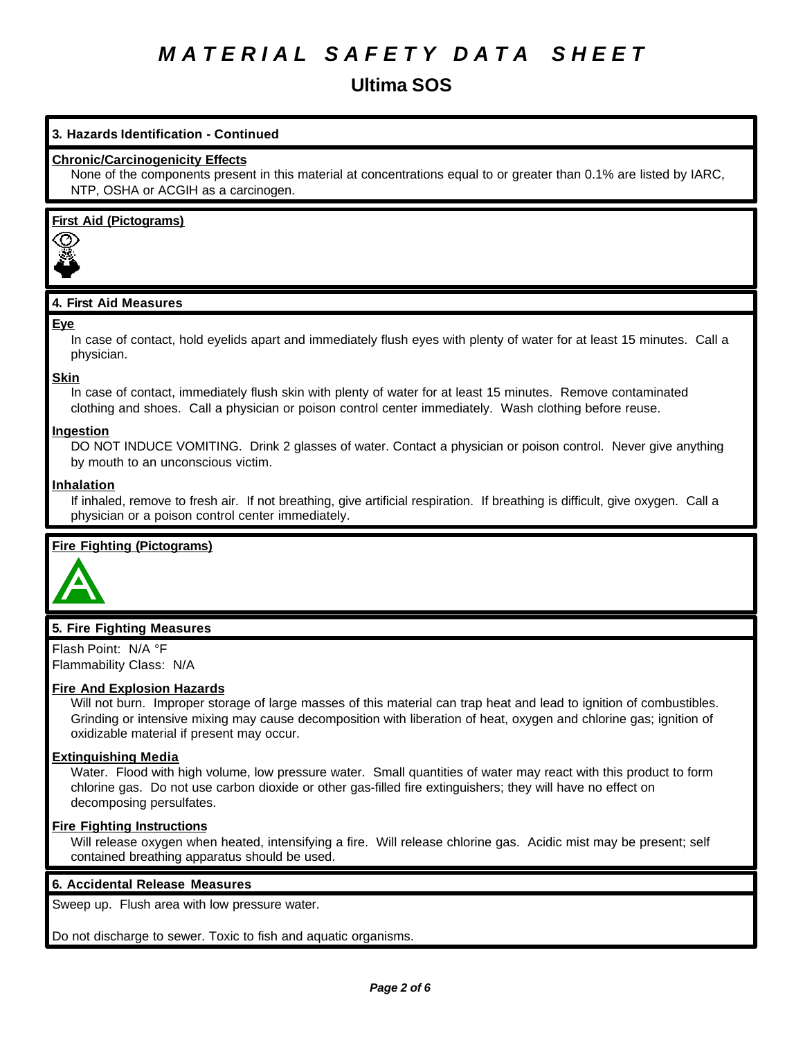**Ultima SOS**

#### **3. Hazards Identification - Continued**

#### **Chronic/Carcinogenicity Effects**

None of the components present in this material at concentrations equal to or greater than 0.1% are listed by IARC, NTP, OSHA or ACGIH as a carcinogen.

#### **First Aid (Pictograms)**



### **4. First Aid Measures**

#### **Eye**

In case of contact, hold eyelids apart and immediately flush eyes with plenty of water for at least 15 minutes. Call a physician.

**Skin**

In case of contact, immediately flush skin with plenty of water for at least 15 minutes. Remove contaminated clothing and shoes. Call a physician or poison control center immediately. Wash clothing before reuse.

#### **Ingestion**

DO NOT INDUCE VOMITING. Drink 2 glasses of water. Contact a physician or poison control. Never give anything by mouth to an unconscious victim.

#### **Inhalation**

If inhaled, remove to fresh air. If not breathing, give artificial respiration. If breathing is difficult, give oxygen. Call a physician or a poison control center immediately.

#### **Fire Fighting (Pictograms)**



#### **5. Fire Fighting Measures**

Flash Point: N/A °F Flammability Class: N/A

#### **Fire And Explosion Hazards**

Will not burn. Improper storage of large masses of this material can trap heat and lead to ignition of combustibles. Grinding or intensive mixing may cause decomposition with liberation of heat, oxygen and chlorine gas; ignition of oxidizable material if present may occur.

#### **Extinguishing Media**

Water. Flood with high volume, low pressure water. Small quantities of water may react with this product to form chlorine gas. Do not use carbon dioxide or other gas-filled fire extinguishers; they will have no effect on decomposing persulfates.

#### **Fire Fighting Instructions**

Will release oxygen when heated, intensifying a fire. Will release chlorine gas. Acidic mist may be present; self contained breathing apparatus should be used.

#### **6. Accidental Release Measures**

Sweep up. Flush area with low pressure water.

Do not discharge to sewer. Toxic to fish and aquatic organisms.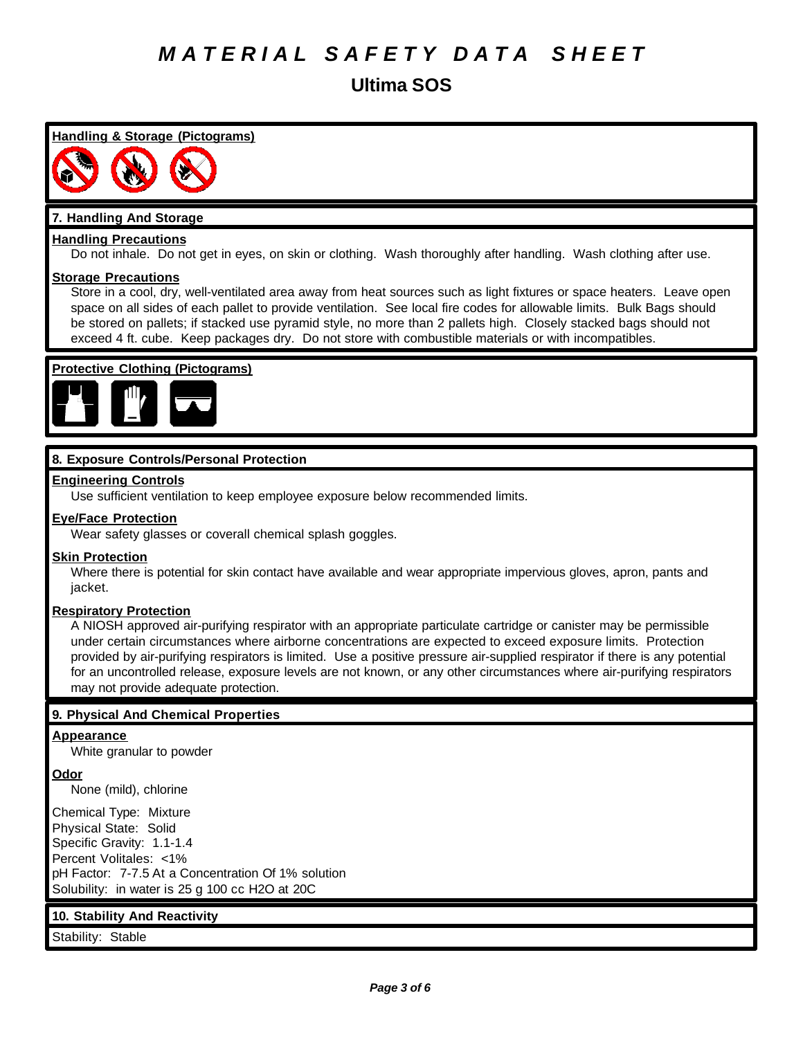**Ultima SOS**

**Handling & Storage (Pictograms)**

#### **7. Handling And Storage**

#### **Handling Precautions**

Do not inhale. Do not get in eyes, on skin or clothing. Wash thoroughly after handling. Wash clothing after use.

#### **Storage Precautions**

Store in a cool, dry, well-ventilated area away from heat sources such as light fixtures or space heaters. Leave open space on all sides of each pallet to provide ventilation. See local fire codes for allowable limits. Bulk Bags should be stored on pallets; if stacked use pyramid style, no more than 2 pallets high. Closely stacked bags should not exceed 4 ft. cube. Keep packages dry. Do not store with combustible materials or with incompatibles.

### **Protective Clothing (Pictograms)**



#### **8. Exposure Controls/Personal Protection**

#### **Engineering Controls**

Use sufficient ventilation to keep employee exposure below recommended limits.

#### **Eye/Face Protection**

Wear safety glasses or coverall chemical splash goggles.

#### **Skin Protection**

Where there is potential for skin contact have available and wear appropriate impervious gloves, apron, pants and jacket.

#### **Respiratory Protection**

A NIOSH approved air-purifying respirator with an appropriate particulate cartridge or canister may be permissible under certain circumstances where airborne concentrations are expected to exceed exposure limits. Protection provided by air-purifying respirators is limited. Use a positive pressure air-supplied respirator if there is any potential for an uncontrolled release, exposure levels are not known, or any other circumstances where air-purifying respirators may not provide adequate protection.

#### **9. Physical And Chemical Properties**

#### **Appearance**

White granular to powder

#### **Odor**

None (mild), chlorine

Chemical Type: Mixture Physical State: Solid Specific Gravity: 1.1-1.4 Percent Volitales: <1% pH Factor: 7-7.5 At a Concentration Of 1% solution Solubility: in water is 25 g 100 cc H2O at 20C

#### **10. Stability And Reactivity**

Stability: Stable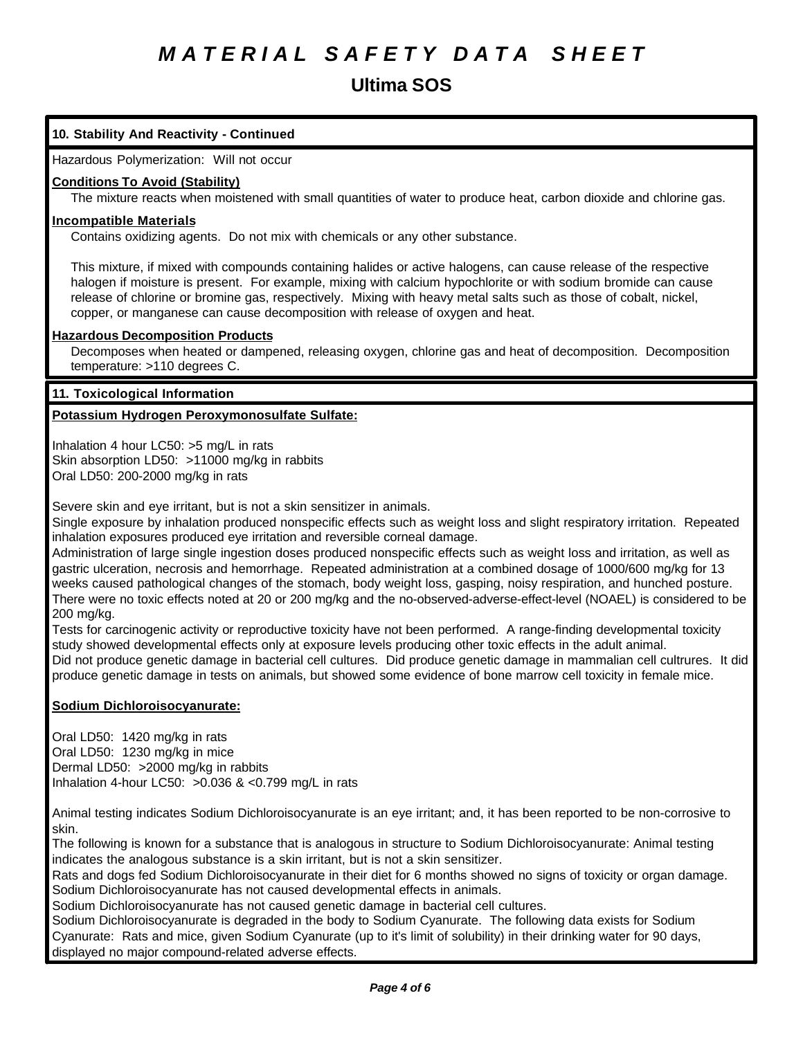### **Ultima SOS**

### **10. Stability And Reactivity - Continued**

Hazardous Polymerization: Will not occur

#### **Conditions To Avoid (Stability)**

The mixture reacts when moistened with small quantities of water to produce heat, carbon dioxide and chlorine gas.

#### **Incompatible Materials**

Contains oxidizing agents. Do not mix with chemicals or any other substance.

This mixture, if mixed with compounds containing halides or active halogens, can cause release of the respective halogen if moisture is present. For example, mixing with calcium hypochlorite or with sodium bromide can cause release of chlorine or bromine gas, respectively. Mixing with heavy metal salts such as those of cobalt, nickel, copper, or manganese can cause decomposition with release of oxygen and heat.

#### **Hazardous Decomposition Products**

Decomposes when heated or dampened, releasing oxygen, chlorine gas and heat of decomposition. Decomposition temperature: >110 degrees C.

#### **11. Toxicological Information**

#### **Potassium Hydrogen Peroxymonosulfate Sulfate:**

Inhalation 4 hour LC50: >5 mg/L in rats Skin absorption LD50: >11000 mg/kg in rabbits Oral LD50: 200-2000 mg/kg in rats

Severe skin and eye irritant, but is not a skin sensitizer in animals.

Single exposure by inhalation produced nonspecific effects such as weight loss and slight respiratory irritation. Repeated inhalation exposures produced eye irritation and reversible corneal damage.

Administration of large single ingestion doses produced nonspecific effects such as weight loss and irritation, as well as gastric ulceration, necrosis and hemorrhage. Repeated administration at a combined dosage of 1000/600 mg/kg for 13 weeks caused pathological changes of the stomach, body weight loss, gasping, noisy respiration, and hunched posture. There were no toxic effects noted at 20 or 200 mg/kg and the no-observed-adverse-effect-level (NOAEL) is considered to be 200 mg/kg.

Tests for carcinogenic activity or reproductive toxicity have not been performed. A range-finding developmental toxicity study showed developmental effects only at exposure levels producing other toxic effects in the adult animal. Did not produce genetic damage in bacterial cell cultures. Did produce genetic damage in mammalian cell cultrures. It did produce genetic damage in tests on animals, but showed some evidence of bone marrow cell toxicity in female mice.

#### **Sodium Dichloroisocyanurate:**

Oral LD50: 1420 mg/kg in rats Oral LD50: 1230 mg/kg in mice Dermal LD50: >2000 mg/kg in rabbits Inhalation 4-hour LC50: >0.036 & <0.799 mg/L in rats

Animal testing indicates Sodium Dichloroisocyanurate is an eye irritant; and, it has been reported to be non-corrosive to skin.

The following is known for a substance that is analogous in structure to Sodium Dichloroisocyanurate: Animal testing indicates the analogous substance is a skin irritant, but is not a skin sensitizer.

Rats and dogs fed Sodium Dichloroisocyanurate in their diet for 6 months showed no signs of toxicity or organ damage. Sodium Dichloroisocyanurate has not caused developmental effects in animals.

Sodium Dichloroisocyanurate has not caused genetic damage in bacterial cell cultures.

Sodium Dichloroisocyanurate is degraded in the body to Sodium Cyanurate. The following data exists for Sodium Cyanurate: Rats and mice, given Sodium Cyanurate (up to it's limit of solubility) in their drinking water for 90 days, displayed no major compound-related adverse effects.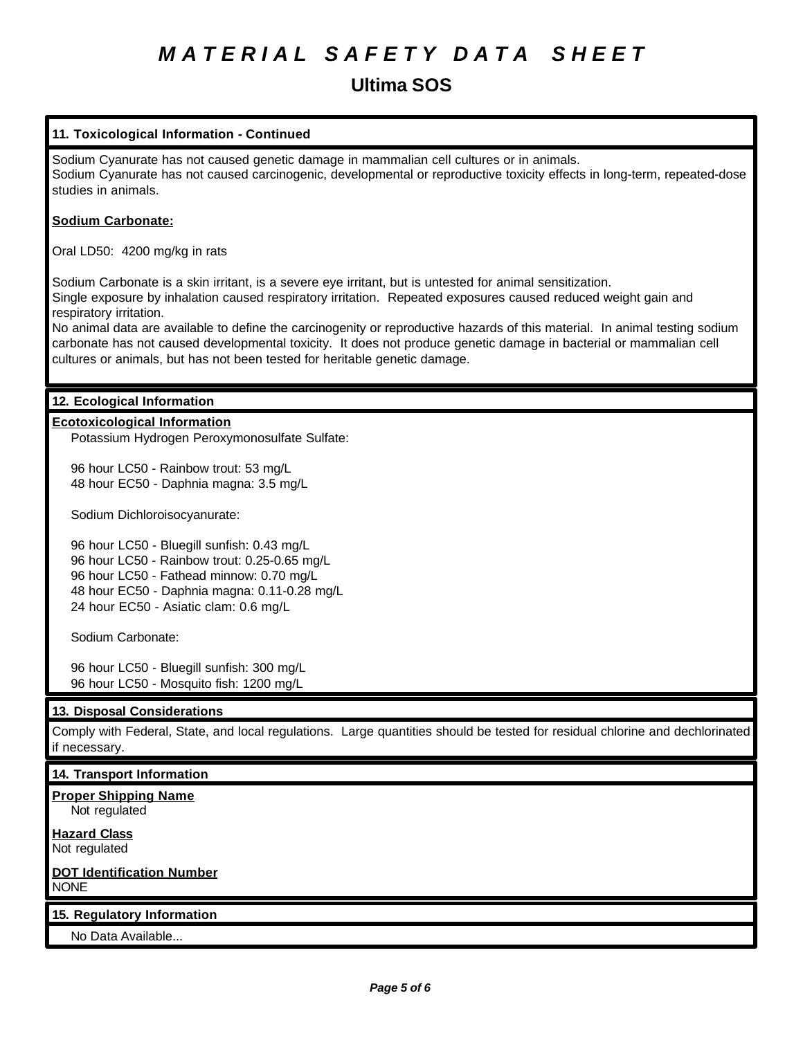### **Ultima SOS**

### **11. Toxicological Information - Continued** Sodium Cyanurate has not caused genetic damage in mammalian cell cultures or in animals. Sodium Cyanurate has not caused carcinogenic, developmental or reproductive toxicity effects in long-term, repeated-dose studies in animals. **Sodium Carbonate:** Oral LD50: 4200 mg/kg in rats Sodium Carbonate is a skin irritant, is a severe eye irritant, but is untested for animal sensitization. Single exposure by inhalation caused respiratory irritation. Repeated exposures caused reduced weight gain and respiratory irritation. No animal data are available to define the carcinogenity or reproductive hazards of this material. In animal testing sodium carbonate has not caused developmental toxicity. It does not produce genetic damage in bacterial or mammalian cell cultures or animals, but has not been tested for heritable genetic damage. **12. Ecological Information Ecotoxicological Information** Potassium Hydrogen Peroxymonosulfate Sulfate: 96 hour LC50 - Rainbow trout: 53 mg/L 48 hour EC50 - Daphnia magna: 3.5 mg/L Sodium Dichloroisocyanurate: 96 hour LC50 - Bluegill sunfish: 0.43 mg/L 96 hour LC50 - Rainbow trout: 0.25-0.65 mg/L 96 hour LC50 - Fathead minnow: 0.70 mg/L 48 hour EC50 - Daphnia magna: 0.11-0.28 mg/L 24 hour EC50 - Asiatic clam: 0.6 mg/L Sodium Carbonate: 96 hour LC50 - Bluegill sunfish: 300 mg/L 96 hour LC50 - Mosquito fish: 1200 mg/L **13. Disposal Considerations** Comply with Federal, State, and local regulations. Large quantities should be tested for residual chlorine and dechlorinated if necessary. **14. Transport Information Proper Shipping Name** Not regulated **Hazard Class** Not regulated **DOT Identification Number** NONE **15. Regulatory Information** No Data Available...